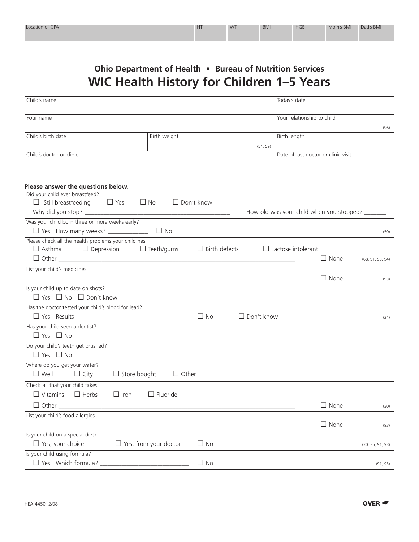## **Ohio Department of Health • Bureau of Nutrition Services WIC Health History for Children 1–5 Years**

| Child's name             |              | Today's date                        |  |
|--------------------------|--------------|-------------------------------------|--|
|                          |              |                                     |  |
| Your name                |              | Your relationship to child          |  |
|                          |              | (96)                                |  |
| Child's birth date       | Birth weight | Birth length                        |  |
|                          | (51, 59)     |                                     |  |
| Child's doctor or clinic |              | Date of last doctor or clinic visit |  |
|                          |              |                                     |  |

| Please answer the questions below.                                            |                                                   |                  |
|-------------------------------------------------------------------------------|---------------------------------------------------|------------------|
| Did your child ever breastfeed?                                               |                                                   |                  |
| $\Box$ Still breastfeeding<br>$\Box$ Yes<br>$\square$ No<br>$\Box$ Don't know |                                                   |                  |
| Why did you stop?                                                             | How old was your child when you stopped? _____    |                  |
| Was your child born three or more weeks early?                                |                                                   |                  |
|                                                                               |                                                   | (50)             |
| Please check all the health problems your child has.                          |                                                   |                  |
| $\Box$ Asthma<br>$\Box$ Depression<br>$\Box$ Teeth/gums                       | $\Box$ Birth defects<br>$\Box$ Lactose intolerant |                  |
|                                                                               | $\Box$ None                                       | (68, 91, 93, 94) |
| List your child's medicines.                                                  |                                                   |                  |
|                                                                               | $\Box$ None                                       | (93)             |
| Is your child up to date on shots?                                            |                                                   |                  |
| $\Box$ Yes $\Box$ No $\Box$ Don't know                                        |                                                   |                  |
| Has the doctor tested your child's blood for lead?                            |                                                   |                  |
|                                                                               | $\Box$ No<br>$\Box$ Don't know                    | (21)             |
| Has your child seen a dentist?                                                |                                                   |                  |
| $\Box$ Yes $\Box$ No                                                          |                                                   |                  |
| Do your child's teeth get brushed?                                            |                                                   |                  |
| $\Box$ Yes $\Box$ No                                                          |                                                   |                  |
| Where do you get your water?                                                  |                                                   |                  |
| $\square$ Well<br>$\Box$ Store bought<br>$\Box$ City                          |                                                   |                  |
| Check all that your child takes.                                              |                                                   |                  |
| $\Box$ Vitamins $\Box$ Herbs<br>$\Box$ Iron<br>$\Box$ Fluoride                |                                                   |                  |
|                                                                               | $\Box$ None                                       | (30)             |
| List your child's food allergies.                                             |                                                   |                  |
|                                                                               | $\Box$ None                                       | (93)             |
| Is your child on a special diet?                                              |                                                   |                  |
| $\Box$ Yes, your choice<br>$\Box$ Yes, from your doctor                       | $\Box$ No                                         | (30, 35, 91, 93) |
| Is your child using formula?                                                  |                                                   |                  |
| $\Box$ Yes Which formula?                                                     | $\Box$ No                                         | (91, 93)         |